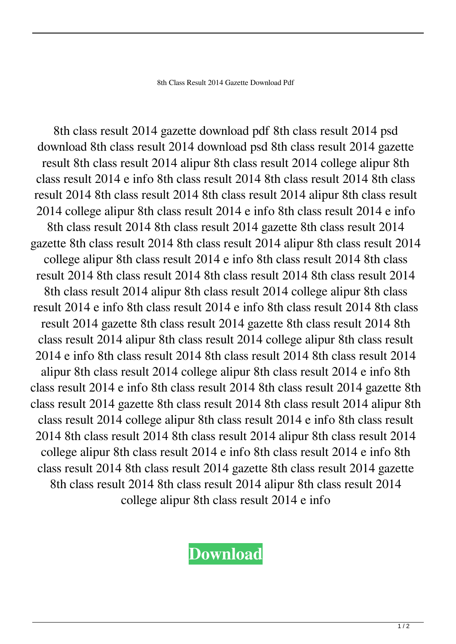8th Class Result 2014 Gazette Download Pdf

8th class result 2014 gazette download pdf 8th class result 2014 psd download 8th class result 2014 download psd 8th class result 2014 gazette result 8th class result 2014 alipur 8th class result 2014 college alipur 8th class result 2014 e info 8th class result 2014 8th class result 2014 8th class result 2014 8th class result 2014 8th class result 2014 alipur 8th class result 2014 college alipur 8th class result 2014 e info 8th class result 2014 e info 8th class result 2014 8th class result 2014 gazette 8th class result 2014 gazette 8th class result 2014 8th class result 2014 alipur 8th class result 2014 college alipur 8th class result 2014 e info 8th class result 2014 8th class result 2014 8th class result 2014 8th class result 2014 8th class result 2014 8th class result 2014 alipur 8th class result 2014 college alipur 8th class result 2014 e info 8th class result 2014 e info 8th class result 2014 8th class result 2014 gazette 8th class result 2014 gazette 8th class result 2014 8th class result 2014 alipur 8th class result 2014 college alipur 8th class result 2014 e info 8th class result 2014 8th class result 2014 8th class result 2014 alipur 8th class result 2014 college alipur 8th class result 2014 e info 8th class result 2014 e info 8th class result 2014 8th class result 2014 gazette 8th class result 2014 gazette 8th class result 2014 8th class result 2014 alipur 8th class result 2014 college alipur 8th class result 2014 e info 8th class result 2014 8th class result 2014 8th class result 2014 alipur 8th class result 2014 college alipur 8th class result 2014 e info 8th class result 2014 e info 8th class result 2014 8th class result 2014 gazette 8th class result 2014 gazette 8th class result 2014 8th class result 2014 alipur 8th class result 2014 college alipur 8th class result 2014 e info

**[Download](http://evacdir.com/OHRoIGNsYXNzIHJlc3VsdCAyMDE0IGdhemV0dGUgZG93bmxvYWQgcGRmOHR.ZG93bmxvYWR8UTVmTTJodmZId3hOalV5TnpRd09EWTJmSHd5TlRjMGZId29UU2tnY21WaFpDMWliRzluSUZ0R1lYTjBJRWRGVGww?/befit/memos?grattitude=dissipates&eosinophilic=juggernauts)**